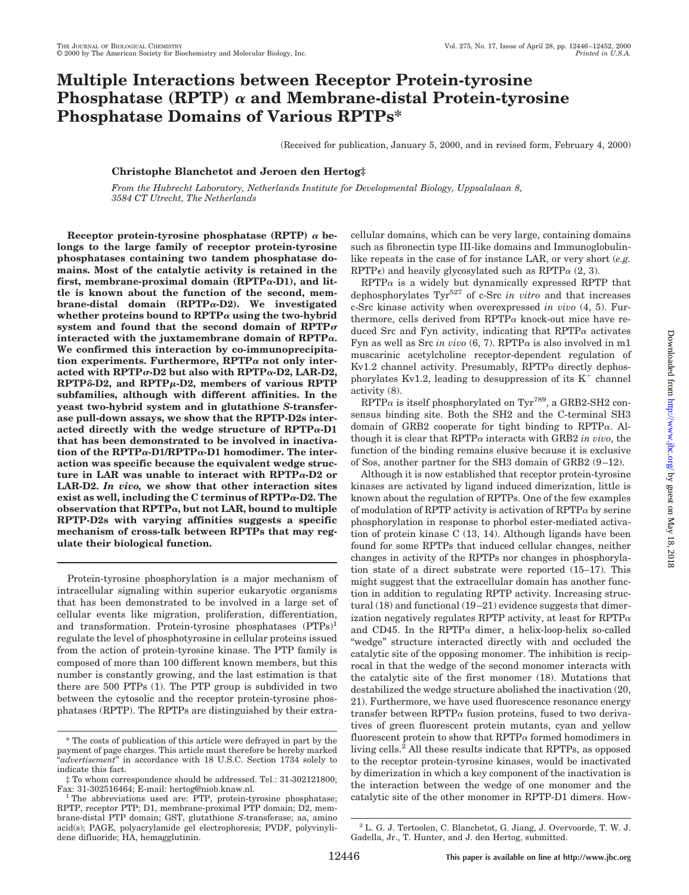# **Multiple Interactions between Receptor Protein-tyrosine Phosphatase (RPTP)**  $\alpha$  and Membrane-distal Protein-tyrosine **Phosphatase Domains of Various RPTPs\***

(Received for publication, January 5, 2000, and in revised form, February 4, 2000)

# **Christophe Blanchetot and Jeroen den Hertog‡**

*From the Hubrecht Laboratory, Netherlands Institute for Developmental Biology, Uppsalalaan 8, 3584 CT Utrecht, The Netherlands*

Receptor protein-tyrosine phosphatase (RPTP)  $\alpha$  be**longs to the large family of receptor protein-tyrosine phosphatases containing two tandem phosphatase domains. Most of the catalytic activity is retained in the first, membrane-proximal domain (RPTP**a**-D1), and little is known about the function of the second, membrane-distal domain (RPTP**a**-D2). We investigated** whether proteins bound to  $\text{RPTP}\alpha$  using the two-hybrid system and found that the second domain of  $RPTP\sigma$ **interacted with the juxtamembrane domain of RPTP**a**. We confirmed this interaction by co-immunoprecipitation experiments. Furthermore, RPTP**<sup>a</sup> **not only interacted with RPTP**s**-D2 but also with RPTP**a**-D2, LAR-D2, RPTP**δ-D2, and RPTP<sub>μ</sub>-D2, members of various RPTP **subfamilies, although with different affinities. In the yeast two-hybrid system and in glutathione** *S***-transferase pull-down assays, we show that the RPTP-D2s interacted directly with the wedge structure of RPTP**a**-D1 that has been demonstrated to be involved in inactivation of the RPTP**a**-D1/RPTP**a**-D1 homodimer. The interaction was specific because the equivalent wedge structure in LAR was unable to interact with RPTP**a**-D2 or LAR-D2.** *In vivo,* **we show that other interaction sites exist as well, including the C terminus of RPTP**a**-D2. The observation that RPTP**a**, but not LAR, bound to multiple RPTP-D2s with varying affinities suggests a specific mechanism of cross-talk between RPTPs that may regulate their biological function.**

Protein-tyrosine phosphorylation is a major mechanism of intracellular signaling within superior eukaryotic organisms that has been demonstrated to be involved in a large set of cellular events like migration, proliferation, differentiation, and transformation. Protein-tyrosine phosphatases (PTPs)<sup>1</sup> regulate the level of phosphotyrosine in cellular proteins issued from the action of protein-tyrosine kinase. The PTP family is composed of more than 100 different known members, but this number is constantly growing, and the last estimation is that there are 500 PTPs (1). The PTP group is subdivided in two between the cytosolic and the receptor protein-tyrosine phosphatases (RPTP). The RPTPs are distinguished by their extracellular domains, which can be very large, containing domains such as fibronectin type III-like domains and Immunoglobulinlike repeats in the case of for instance LAR, or very short (*e.g.* RPTP $\epsilon$ ) and heavily glycosylated such as RPTP $\alpha$  (2, 3).

 $RPTP\alpha$  is a widely but dynamically expressed RPTP that dephosphorylates Tyr527 of c-Src *in vitro* and that increases c-Src kinase activity when overexpressed *in vivo* (4, 5). Furthermore, cells derived from RPTP $\alpha$  knock-out mice have reduced Src and Fyn activity, indicating that  $RPTP\alpha$  activates Fyn as well as Src *in vivo*  $(6, 7)$ . RPTP $\alpha$  is also involved in m1 muscarinic acetylcholine receptor-dependent regulation of Kv1.2 channel activity. Presumably,  $RPTP\alpha$  directly dephosphorylates Kv1.2, leading to desuppression of its  $K^+$  channel activity (8).

 $RPTP\alpha$  is itself phosphorylated on Tyr<sup>789</sup>, a GRB2-SH2 consensus binding site. Both the SH2 and the C-terminal SH3 domain of GRB2 cooperate for tight binding to RPTPa. Although it is clear that  $RPTP\alpha$  interacts with GRB2 *in vivo*, the function of the binding remains elusive because it is exclusive of Sos, another partner for the SH3 domain of GRB2 (9–12).

Although it is now established that receptor protein-tyrosine kinases are activated by ligand induced dimerization, little is known about the regulation of RPTPs. One of the few examples of modulation of RPTP activity is activation of  $RPTP\alpha$  by serine phosphorylation in response to phorbol ester-mediated activation of protein kinase C (13, 14). Although ligands have been found for some RPTPs that induced cellular changes, neither changes in activity of the RPTPs nor changes in phosphorylation state of a direct substrate were reported (15–17). This might suggest that the extracellular domain has another function in addition to regulating RPTP activity. Increasing structural (18) and functional (19–21) evidence suggests that dimerization negatively regulates RPTP activity, at least for  $RPTP\alpha$ and CD45. In the RPTP $\alpha$  dimer, a helix-loop-helix so-called "wedge" structure interacted directly with and occluded the catalytic site of the opposing monomer. The inhibition is reciprocal in that the wedge of the second monomer interacts with the catalytic site of the first monomer (18). Mutations that destabilized the wedge structure abolished the inactivation (20, 21). Furthermore, we have used fluorescence resonance energy transfer between RPTP $\alpha$  fusion proteins, fused to two derivatives of green fluorescent protein mutants, cyan and yellow fluorescent protein to show that  $RPTP\alpha$  formed homodimers in living cells.<sup>2</sup> All these results indicate that RPTPs, as opposed to the receptor protein-tyrosine kinases, would be inactivated by dimerization in which a key component of the inactivation is the interaction between the wedge of one monomer and the catalytic site of the other monomer in RPTP-D1 dimers. How-

<sup>\*</sup> The costs of publication of this article were defrayed in part by the payment of page charges. This article must therefore be hereby marked "*advertisement*" in accordance with 18 U.S.C. Section 1734 solely to indicate this fact.

 $\ddagger$  To whom correspondence should be addressed. Tel.: 31-302121800; Fax: 31-302516464; E-mail: hertog@niob.knaw.nl.

 $1$ <sup>1</sup> The abbreviations used are: PTP, protein-tyrosine phosphatase; RPTP, receptor PTP; D1, membrane-proximal PTP domain; D2, membrane-distal PTP domain; GST, glutathione *S*-transferase; aa, amino acid(s); PAGE, polyacrylamide gel electrophoresis; PVDF, polyvinylidene difluoride; HA, hemagglutinin.

 $^2$  L. G. J. Tertoolen, C. Blanchetot, G. Jiang, J. Overvoorde, T. W. J. Gadella, Jr., T. Hunter, and J. den Hertog, submitted.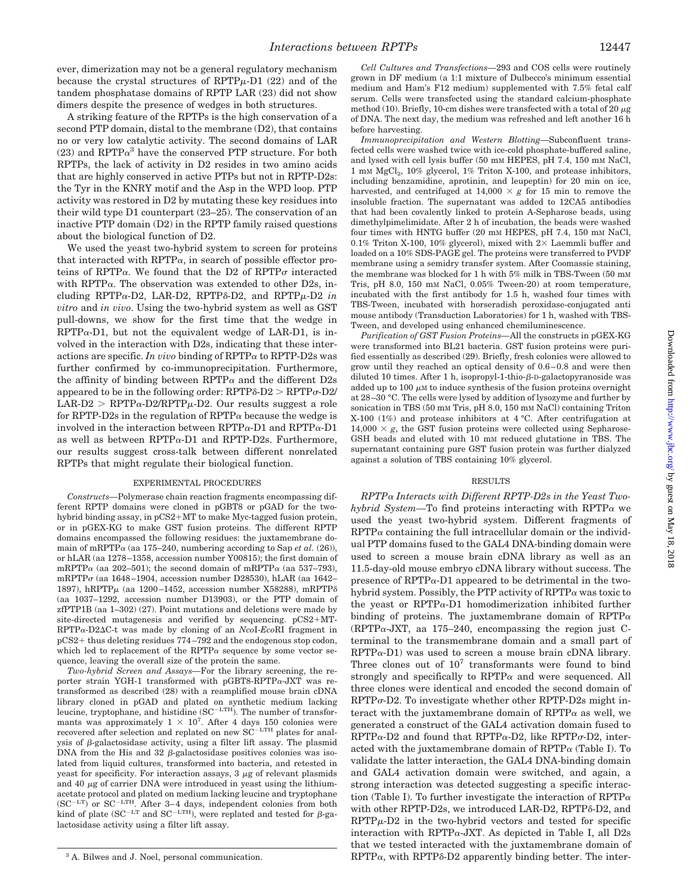ever, dimerization may not be a general regulatory mechanism because the crystal structures of  $RPTP\mu-D1$  (22) and of the tandem phosphatase domains of RPTP LAR (23) did not show dimers despite the presence of wedges in both structures.

A striking feature of the RPTPs is the high conservation of a second PTP domain, distal to the membrane (D2), that contains no or very low catalytic activity. The second domains of LAR  $(23)$  and RPTP $\alpha^3$  have the conserved PTP structure. For both RPTPs, the lack of activity in D2 resides in two amino acids that are highly conserved in active PTPs but not in RPTP-D2s: the Tyr in the KNRY motif and the Asp in the WPD loop. PTP activity was restored in D2 by mutating these key residues into their wild type D1 counterpart (23–25). The conservation of an inactive PTP domain (D2) in the RPTP family raised questions about the biological function of D2.

We used the yeast two-hybrid system to screen for proteins that interacted with  $RPTP\alpha$ , in search of possible effector proteins of RPTP $\alpha$ . We found that the D2 of RPTP $\sigma$  interacted with RPTP $\alpha$ . The observation was extended to other D2s, including RPTP $\alpha$ -D2, LAR-D2, RPTP $\delta$ -D2, and RPTP $\mu$ -D2 *in vitro* and *in vivo*. Using the two-hybrid system as well as GST pull-downs, we show for the first time that the wedge in  $RPTP\alpha-D1$ , but not the equivalent wedge of LAR-D1, is involved in the interaction with D2s, indicating that these interactions are specific. *In vivo* binding of  $RPTP\alpha$  to  $RPTP-D2s$  was further confirmed by co-immunoprecipitation. Furthermore, the affinity of binding between RPTP $\alpha$  and the different D2s appeared to be in the following order:  $RPTP\delta-D2 > RPTP\sigma-D2/$  $LAR-D2 > RPTP\alpha-D2/RPTP\mu-D2$ . Our results suggest a role for RPTP-D2s in the regulation of  $RPTP\alpha$  because the wedge is involved in the interaction between  $RPTP\alpha-D1$  and  $RPTP\alpha-D1$ as well as between  $RPTP\alpha-D1$  and  $RPTP-D2s$ . Furthermore, our results suggest cross-talk between different nonrelated RPTPs that might regulate their biological function.

# EXPERIMENTAL PROCEDURES

*Constructs—*Polymerase chain reaction fragments encompassing different RPTP domains were cloned in pGBT8 or pGAD for the twohybrid binding assay, in pCS2+MT to make Myc-tagged fusion protein, or in pGEX-KG to make GST fusion proteins. The different RPTP domains encompassed the following residues: the juxtamembrane domain of mRPTP $\alpha$  (aa 175–240, numbering according to Sap *et al.* (26)), or hLAR (aa 1278–1358, accession number Y00815); the first domain of mRPTP $\alpha$  (aa 202–501); the second domain of mRPTP $\alpha$  (aa 537–793), mRPTP $\sigma$  (aa 1648–1904, accession number D28530), hLAR (aa 1642– 1897), hRPTP $\mu$  (aa 1200–1452, accession number X58288), mRPTP $\delta$ (aa 1037–1292, accession number D13903), or the PTP domain of zfPTP1B (aa 1–302) (27). Point mutations and deletions were made by site-directed mutagenesis and verified by sequencing.  $pCS2+MT-$ RPTPa-D2DC-t was made by cloning of an *Nco*I-*Eco*RI fragment in  $pCS2+$  thus deleting residues  $774-792$  and the endogenous stop codon, which led to replacement of the RPTP $\alpha$  sequence by some vector sequence, leaving the overall size of the protein the same.

*Two-hybrid Screen and Assays—*For the library screening, the reporter strain YGH-1 transformed with pGBT8-RPTPa-JXT was retransformed as described (28) with a reamplified mouse brain cDNA library cloned in pGAD and plated on synthetic medium lacking<br>leucine, tryptophane, and histidine (SC<sup>-LTH</sup>). The number of transformants was approximately  $1 \times 10^7$ . After 4 days 150 colonies were recovered after selection and replated on new SC<sup>-LTH</sup> plates for analysis of  $\beta$ -galactosidase activity, using a filter lift assay. The plasmid DNA from the His and 32  $\beta$ -galactosidase positives colonies was isolated from liquid cultures, transformed into bacteria, and retested in yeast for specificity. For interaction assays,  $3 \mu$ g of relevant plasmids and 40  $\mu$ g of carrier DNA were introduced in yeast using the lithiumacetate protocol and plated on medium lacking leucine and tryptophane ( $SC^{-LT}$ ) or  $SC^{-LTH}$ . After 3–4 days, independent colonies from both kind of plate (SC<sup>-LT</sup> and SC<sup>-LTH</sup>), were replated and tested for  $\beta$ -galactosidase activity using a filter lift assay.

*Cell Cultures and Transfections—*293 and COS cells were routinely grown in DF medium (a 1:1 mixture of Dulbecco's minimum essential medium and Ham's F12 medium) supplemented with 7.5% fetal calf serum. Cells were transfected using the standard calcium-phosphate method (10). Briefly, 10-cm dishes were transfected with a total of 20  $\mu$ g of DNA. The next day, the medium was refreshed and left another 16 h before harvesting.

*Immunoprecipitation and Western Blotting—*Subconfluent transfected cells were washed twice with ice-cold phosphate-buffered saline, and lysed with cell lysis buffer (50 mM HEPES, pH 7.4, 150 mM NaCl, 1 mM MgCl<sub>2</sub>, 10% glycerol, 1% Triton X-100, and protease inhibitors, including benzamidine, aprotinin, and leupeptin) for 20 min on ice, harvested, and centrifuged at  $14,000 \times g$  for 15 min to remove the insoluble fraction. The supernatant was added to 12CA5 antibodies that had been covalently linked to protein A-Sepharose beads, using dimethylpimelimidate. After 2 h of incubation, the beads were washed four times with HNTG buffer (20 mM HEPES, pH 7.4, 150 mM NaCl, 0.1% Triton X-100, 10% glycerol), mixed with  $2 \times$  Laemmli buffer and loaded on a 10% SDS-PAGE gel. The proteins were transferred to PVDF membrane using a semidry transfer system. After Coomassie staining, the membrane was blocked for 1 h with 5% milk in TBS-Tween (50 mM Tris, pH 8.0, 150 mM NaCl, 0.05% Tween-20) at room temperature, incubated with the first antibody for 1.5 h, washed four times with TBS-Tween, incubated with horseradish peroxidase-conjugated anti mouse antibody (Transduction Laboratories) for 1 h, washed with TBS-Tween, and developed using enhanced chemiluminescence.

*Purification of GST Fusion Proteins—*All the constructs in pGEX-KG were transformed into BL21 bacteria. GST fusion proteins were purified essentially as described (29). Briefly, fresh colonies were allowed to grow until they reached an optical density of 0.6–0.8 and were then diluted 10 times. After 1 h, isopropyl-1-thio- $\beta$ -D-galactopyranoside was added up to 100  $\mu$ M to induce synthesis of the fusion proteins overnight at 28–30 °C. The cells were lysed by addition of lysozyme and further by sonication in TBS (50 mM Tris, pH 8.0, 150 mM NaCl) containing Triton X-100 (1%) and protease inhibitors at 4 °C. After centrifugation at  $14,000 \times g$ , the GST fusion proteins were collected using Sepharose-GSH beads and eluted with 10 mM reduced glutatione in TBS. The supernatant containing pure GST fusion protein was further dialyzed against a solution of TBS containing 10% glycerol.

# RESULTS

*RPTP*<sup>a</sup> *Interacts with Different RPTP-D2s in the Yeast Twohybrid System—*To find proteins interacting with RPTP<sup>a</sup> we used the yeast two-hybrid system. Different fragments of  $RPTP\alpha$  containing the full intracellular domain or the individual PTP domains fused to the GAL4 DNA-binding domain were used to screen a mouse brain cDNA library as well as an 11.5-day-old mouse embryo cDNA library without success. The presence of  $RPTP\alpha-D1$  appeared to be detrimental in the twohybrid system. Possibly, the PTP activity of  $RPTP\alpha$  was toxic to the yeast or RPTPa-D1 homodimerization inhibited further binding of proteins. The juxtamembrane domain of RPTP $\alpha$ (RPTP $\alpha$ -JXT, aa 175–240, encompassing the region just Cterminal to the transmembrane domain and a small part of  $RPTP\alpha-D1$ ) was used to screen a mouse brain cDNA library. Three clones out of  $10^7$  transformants were found to bind strongly and specifically to  $RPTP\alpha$  and were sequenced. All three clones were identical and encoded the second domain of  $RPTP\sigma$ -D2. To investigate whether other RPTP-D2s might interact with the juxtamembrane domain of  $RPTP\alpha$  as well, we generated a construct of the GAL4 activation domain fused to  $RPTP\alpha-D2$  and found that  $RPTP\alpha-D2$ , like  $RPTP\sigma-D2$ , interacted with the juxtamembrane domain of  $RPTP\alpha$  (Table I). To validate the latter interaction, the GAL4 DNA-binding domain and GAL4 activation domain were switched, and again, a strong interaction was detected suggesting a specific interaction (Table I). To further investigate the interaction of  $RPTP\alpha$ with other RPTP-D2s, we introduced LAR-D2, RPTP $\delta$ -D2, and  $RPTP\mu-D2$  in the two-hybrid vectors and tested for specific interaction with RPTP $\alpha$ -JXT. As depicted in Table I, all D2s that we tested interacted with the juxtamembrane domain of <sup>3</sup> A. Bilwes and J. Noel, personal communication.  $RPTP\alpha$ , with  $RPTP\delta$ -D2 apparently binding better. The inter-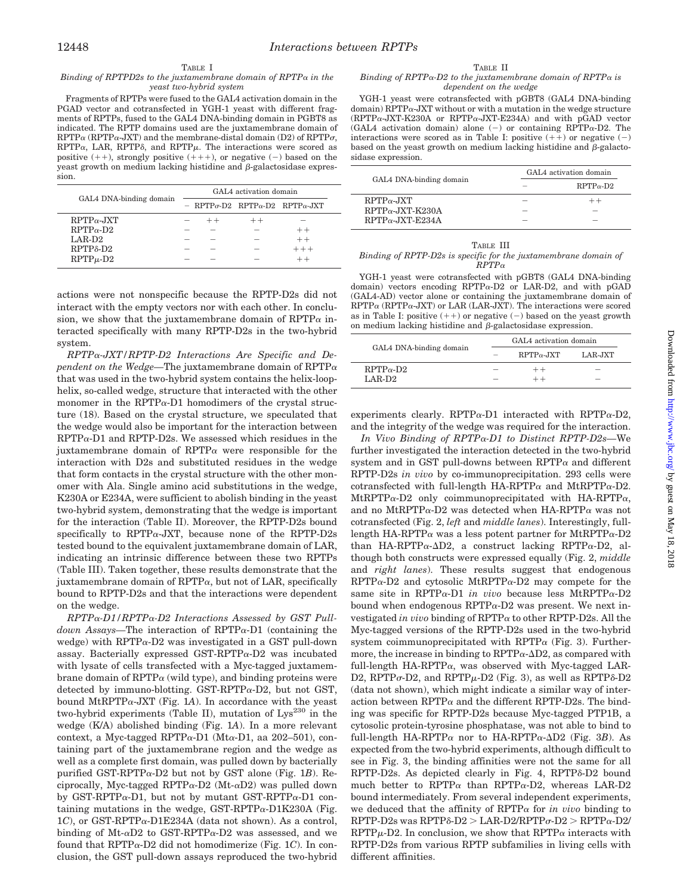# TABLE I

*Binding of RPTPD2s to the juxtamembrane domain of RPTP*<sup>a</sup> *in the yeast two-hybrid system*

Fragments of RPTPs were fused to the GAL4 activation domain in the PGAD vector and cotransfected in YGH-1 yeast with different fragments of RPTPs, fused to the GAL4 DNA-binding domain in PGBT8 as indicated. The RPTP domains used are the juxtamembrane domain of  $RPTP\alpha$  (RPTP $\alpha$ -JXT) and the membrane-distal domain (D2) of RPTP $\sigma$ ,  $RPTP\alpha$ , LAR,  $RPTP\delta$ , and  $RPTP\mu$ . The interactions were scored as positive  $(++)$ , strongly positive  $(+++)$ , or negative  $(-)$  based on the yeast growth on medium lacking histidine and  $\beta$ -galactosidase expression.

|                                 | GAL4 activation domain |      |      |                                                            |  |
|---------------------------------|------------------------|------|------|------------------------------------------------------------|--|
| GAL4 DNA-binding domain         |                        |      |      | $-$ RPTP $\sigma$ -D2 RPTP $\alpha$ -D2 RPTP $\alpha$ -JXT |  |
| $RPTP\alpha$ -JXT               |                        | $++$ | $++$ |                                                            |  |
| $RPTP_{\alpha}$ -D <sub>2</sub> |                        |      |      | $+ +$                                                      |  |
| LAR-D <sub>2</sub>              |                        |      |      | $++$                                                       |  |
| $RPTP\delta-D2$                 |                        |      |      | $++ +$                                                     |  |
| $RPTP\mu - D2$                  |                        |      |      |                                                            |  |

actions were not nonspecific because the RPTP-D2s did not interact with the empty vectors nor with each other. In conclusion, we show that the juxtamembrane domain of  $RPTP\alpha$  interacted specifically with many RPTP-D2s in the two-hybrid system.

*RPTP*a*-JXT/RPTP-D2 Interactions Are Specific and Dependent on the Wedge—*The juxtamembrane domain of RPTP<sup>a</sup> that was used in the two-hybrid system contains the helix-loophelix, so-called wedge, structure that interacted with the other monomer in the RPTP $\alpha$ -D1 homodimers of the crystal structure (18). Based on the crystal structure, we speculated that the wedge would also be important for the interaction between  $RPTP\alpha$ -D1 and  $RPTP$ -D2s. We assessed which residues in the juxtamembrane domain of  $RPTP\alpha$  were responsible for the interaction with D2s and substituted residues in the wedge that form contacts in the crystal structure with the other monomer with Ala. Single amino acid substitutions in the wedge, K230A or E234A, were sufficient to abolish binding in the yeast two-hybrid system, demonstrating that the wedge is important for the interaction (Table II). Moreover, the RPTP-D2s bound specifically to RPTP $\alpha$ -JXT, because none of the RPTP-D2s tested bound to the equivalent juxtamembrane domain of LAR, indicating an intrinsic difference between these two RPTPs (Table III). Taken together, these results demonstrate that the juxtamembrane domain of  $RPTP\alpha$ , but not of LAR, specifically bound to RPTP-D2s and that the interactions were dependent on the wedge.

*RPTP*a*-D1/RPTP*a*-D2 Interactions Assessed by GST Pulldown Assays—*The interaction of RPTPa-D1 (containing the wedge) with  $RPTP\alpha-D2$  was investigated in a GST pull-down assay. Bacterially expressed GST-RPTP $\alpha$ -D2 was incubated with lysate of cells transfected with a Myc-tagged juxtamembrane domain of  $RPTP\alpha$  (wild type), and binding proteins were detected by immuno-blotting. GST-RPTP $\alpha$ -D2, but not GST, bound MtRPTP $\alpha$ -JXT (Fig. 1A). In accordance with the yeast two-hybrid experiments (Table II), mutation of  $Lys^{230}$  in the wedge (K/A) abolished binding (Fig. 1*A*). In a more relevant context, a Myc-tagged RPTP $\alpha$ -D1 (Mt $\alpha$ -D1, aa 202–501), containing part of the juxtamembrane region and the wedge as well as a complete first domain, was pulled down by bacterially purified GST-RPTP $\alpha$ -D2 but not by GST alone (Fig. 1*B*). Reciprocally, Myc-tagged RPTP $\alpha$ -D2 (Mt- $\alpha$ D2) was pulled down by GST-RPTP $\alpha$ -D1, but not by mutant GST-RPTP $\alpha$ -D1 containing mutations in the wedge, GST-RPTP $\alpha$ -D1K230A (Fig. 1*C*), or GST-RPTPa-D1E234A (data not shown). As a control, binding of Mt- $\alpha$ D2 to GST-RPTP $\alpha$ -D2 was assessed, and we found that RPTPa-D2 did not homodimerize (Fig. 1*C*). In conclusion, the GST pull-down assays reproduced the two-hybrid

### TABLE II

#### *Binding of RPTP* $\alpha$ *-D2 to the juxtamembrane domain of RPTP* $\alpha$  *is dependent on the wedge*

YGH-1 yeast were cotransfected with pGBT8 (GAL4 DNA-binding  $domain)$  RPTP $\alpha$ -JXT without or with a mutation in the wedge structure (RPTPa-JXT-K230A or RPTPa-JXT-E234A) and with pGAD vector (GAL4 activation domain) alone  $(-)$  or containing RPTP $\alpha$ -D2. The interactions were scored as in Table I: positive  $(+)$  or negative  $(-)$ based on the yeast growth on medium lacking histidine and  $\beta$ -galactosidase expression.

|                         | GAL4 activation domain |                                 |  |
|-------------------------|------------------------|---------------------------------|--|
| GAL4 DNA-binding domain |                        | $RPTP_{\alpha}$ -D <sub>2</sub> |  |
| $RPTP_{\alpha}$ -JXT    |                        |                                 |  |
| $RPTP\alpha$ -JXT-K230A |                        |                                 |  |
| $RPTP\alpha$ -JXT-E234A |                        |                                 |  |

#### TABLE III

#### *Binding of RPTP-D2s is specific for the juxtamembrane domain of RPTP*<sup>a</sup>

YGH-1 yeast were cotransfected with pGBT8 (GAL4 DNA-binding domain) vectors encoding RPTPa-D2 or LAR-D2, and with pGAD (GAL4-AD) vector alone or containing the juxtamembrane domain of  $RPTP\alpha$  (RPTP $\alpha$ -JXT) or LAR (LAR-JXT). The interactions were scored as in Table I: positive  $(++)$  or negative  $(-)$  based on the yeast growth on medium lacking histidine and  $\beta$ -galactosidase expression.

|                                 | GAL4 activation domain |                      |         |  |
|---------------------------------|------------------------|----------------------|---------|--|
| GAL4 DNA-binding domain         |                        | $RPTP_{\alpha}$ -JXT | LAR-JXT |  |
| $RPTP_{\alpha}$ -D <sub>2</sub> |                        | $++$                 |         |  |
| $LAR-D2$                        |                        | $++$                 |         |  |

Downloaded from http://www.jbc.org/ by guest on May 18, 2018 Downloaded from [http://www.jbc.or](http://www.jbc.org/)g/ by guest on May 18, 2018

experiments clearly. RPTP $\alpha$ -D1 interacted with RPTP $\alpha$ -D2, and the integrity of the wedge was required for the interaction.

*In Vivo Binding of RPTP*a*-D1 to Distinct RPTP-D2s—*We further investigated the interaction detected in the two-hybrid system and in GST pull-downs between  $RPTP\alpha$  and different RPTP-D2s *in vivo* by co-immunoprecipitation. 293 cells were cotransfected with full-length HA-RPTP $\alpha$  and MtRPTP $\alpha$ -D2.  $MtRPTP\alpha-D2$  only coimmunoprecipitated with HA-RPTP $\alpha$ , and no MtRPTP $\alpha$ -D2 was detected when HA-RPTP $\alpha$  was not cotransfected (Fig. 2, *left* and *middle lanes*). Interestingly, fulllength HA-RPTP $\alpha$  was a less potent partner for MtRPTP $\alpha$ -D2 than HA-RPTP $\alpha$ - $\Delta$ D2, a construct lacking RPTP $\alpha$ -D2, although both constructs were expressed equally (Fig. 2, *middle* and *right lanes*). These results suggest that endogenous  $RPTP\alpha-D2$  and cytosolic MtRPTP $\alpha-D2$  may compete for the same site in RPTPa-D1 *in vivo* because less MtRPTPa-D2 bound when endogenous  $RPTP\alpha-D2$  was present. We next investigated *in vivo* binding of  $RPTP\alpha$  to other  $RPTP-D2s$ . All the Myc-tagged versions of the RPTP-D2s used in the two-hybrid system coimmunoprecipitated with  $RPTP\alpha$  (Fig. 3). Furthermore, the increase in binding to  $RPTP\alpha-\Delta D2$ , as compared with full-length HA-RPTP $\alpha$ , was observed with Myc-tagged LAR-D2, RPTP $\sigma$ -D2, and RPTP $\mu$ -D2 (Fig. 3), as well as RPTP $\delta$ -D2 (data not shown), which might indicate a similar way of interaction between  $RPTP\alpha$  and the different RPTP-D2s. The binding was specific for RPTP-D2s because Myc-tagged PTP1B, a cytosolic protein-tyrosine phosphatase, was not able to bind to full-length HA-RPTP $\alpha$  nor to HA-RPTP $\alpha$ - $\Delta$ D2 (Fig. 3*B*). As expected from the two-hybrid experiments, although difficult to see in Fig. 3, the binding affinities were not the same for all RPTP-D2s. As depicted clearly in Fig. 4, RPTPô-D2 bound much better to RPTP $\alpha$  than RPTP $\alpha$ -D2, whereas LAR-D2 bound intermediately. From several independent experiments, we deduced that the affinity of  $RPTP\alpha$  for *in vivo* binding to  $RPTP-D2s$  was  $RPTP\delta-D2 > LAR-D2/RPTP\sigma-D2 > RPTP\alpha-D2/$  $RPTP\mu-D2$ . In conclusion, we show that  $RPTP\alpha$  interacts with RPTP-D2s from various RPTP subfamilies in living cells with different affinities.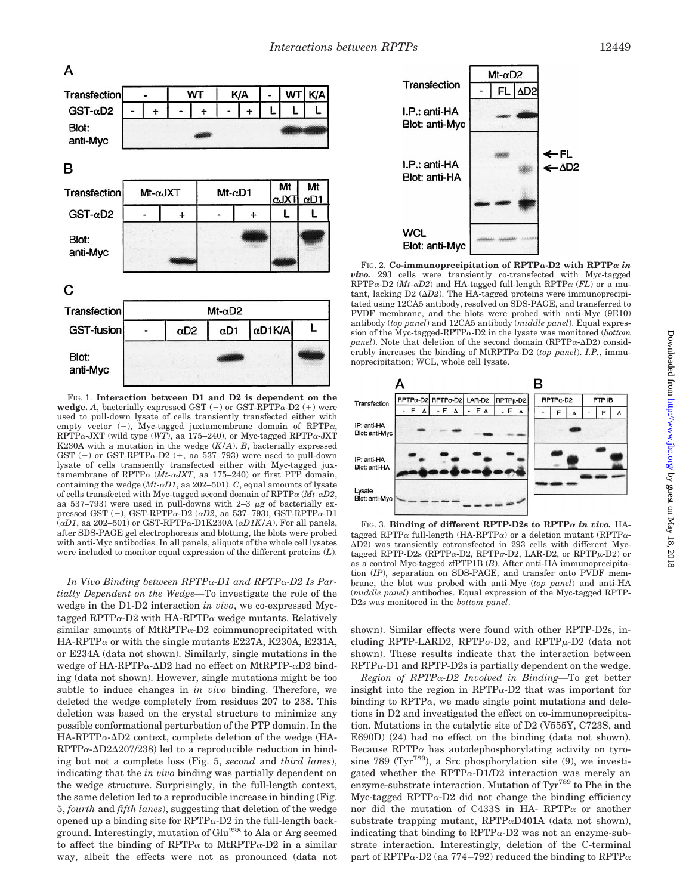

FIG. 1. **Interaction between D1 and D2 is dependent on the wedge.** A, bacterially expressed GST  $(-)$  or GST-RPTPa-D2  $(+)$  were used to pull-down lysate of cells transiently transfected either with empty vector  $(-)$ , Myc-tagged juxtamembrane domain of RPTP $\alpha$ , RPTP $\alpha$ -JXT (wild type (WT), aa 175–240), or Myc-tagged RPTP $\alpha$ -JXT K230A with a mutation in the wedge (*K/A*). *B*, bacterially expressed GST (-) or GST-RPTPa-D2 (+, aa 537–793) were used to pull-down lysate of cells transiently transfected either with Myc-tagged juxtamembrane of RPTP<sup>a</sup> (*Mt-*a*JXT*, aa 175–240) or first PTP domain, containing the wedge (*Mt-*a*D1*, aa 202–501). *C*, equal amounts of lysate of cells transfected with Myc-tagged second domain of RPTP<sup>a</sup> (*Mt-*a*D2*, aa 537–793) were used in pull-downs with 2–3  $\mu$ g of bacterially expressed GST (-), GST-RPTP $\alpha$ -D2 ( $\alpha$ D2, aa 537–793), GST-RPTP $\alpha$ -D1  $(\alpha D1)$ , aa 202–501) or GST-RPTP $\alpha$ -D1K230A ( $\alpha D1K/A$ ). For all panels, after SDS-PAGE gel electrophoresis and blotting, the blots were probed with anti-Myc antibodies. In all panels, aliquots of the whole cell lysates were included to monitor equal expression of the different proteins (*L*).

*In Vivo Binding between RPTP*a*-D1 and RPTP*a*-D2 Is Partially Dependent on the Wedge—*To investigate the role of the wedge in the D1-D2 interaction *in vivo*, we co-expressed Myctagged RPTP $\alpha$ -D2 with HA-RPTP $\alpha$  wedge mutants. Relatively similar amounts of MtRPTP $\alpha$ -D2 coimmunoprecipitated with  $HA-RPTP\alpha$  or with the single mutants E227A, K230A, E231A, or E234A (data not shown). Similarly, single mutations in the wedge of HA-RPTP $\alpha$ - $\Delta$ D2 had no effect on MtRPTP- $\alpha$ D2 binding (data not shown). However, single mutations might be too subtle to induce changes in *in vivo* binding. Therefore, we deleted the wedge completely from residues 207 to 238. This deletion was based on the crystal structure to minimize any possible conformational perturbation of the PTP domain. In the  $HA-RPTP\alpha-\Delta D2$  context, complete deletion of the wedge (HA- $RPTP\alpha-\Delta D2\Delta 207/238$ ) led to a reproducible reduction in binding but not a complete loss (Fig. 5, *second* and *third lanes*), indicating that the *in vivo* binding was partially dependent on the wedge structure. Surprisingly, in the full-length context, the same deletion led to a reproducible increase in binding (Fig. 5, *fourth* and *fifth lanes*), suggesting that deletion of the wedge opened up a binding site for  $RPTP\alpha-D2$  in the full-length background. Interestingly, mutation of Glu228 to Ala or Arg seemed to affect the binding of RPTP $\alpha$  to MtRPTP $\alpha$ -D2 in a similar way, albeit the effects were not as pronounced (data not



FIG. 2. **Co-immunoprecipitation of RPTP**a**-D2 with RPTP**<sup>a</sup> *in vivo.* 293 cells were transiently co-transfected with Myc-tagged RPTP $\alpha$ -D2 (*Mt-* $\alpha$ *D2*) and HA-tagged full-length RPTP $\alpha$  (*FL*) or a mutant, lacking  $D2 \ (\Delta D2)$ . The HA-tagged proteins were immunoprecipitated using 12CA5 antibody, resolved on SDS-PAGE, and transferred to PVDF membrane, and the blots were probed with anti-Myc (9E10) antibody (*top panel*) and 12CA5 antibody (*middle panel*). Equal expression of the Myc-tagged-RPTPa-D2 in the lysate was monitored (*bottom panel*). Note that deletion of the second domain (RPTP $\alpha$ - $\Delta$ D2) considerably increases the binding of MtRPTP $\alpha$ -D2 (*top panel*). *I.P.*, immunoprecipitation; WCL, whole cell lysate.



FIG. 3. **Binding of different RPTP-D2s to RPTP**<sup>a</sup> *in vivo.* HAtagged RPTP $\alpha$  full-length (HA-RPTP $\alpha$ ) or a deletion mutant (RPTP $\alpha$ -DD2) was transiently cotransfected in 293 cells with different Myctagged RPTP-D2s (RPTP $\alpha$ -D2, RPTP $\sigma$ -D2, LAR-D2, or RPTP $\mu$ -D2) or as a control Myc-tagged zfPTP1B (*B*). After anti-HA immunoprecipitation (*IP*), separation on SDS-PAGE, and transfer onto PVDF membrane, the blot was probed with anti-Myc (*top panel*) and anti-HA (*middle panel*) antibodies. Equal expression of the Myc-tagged RPTP-D2s was monitored in the *bottom panel*.

shown). Similar effects were found with other RPTP-D2s, including RPTP-LARD2, RPTP $\sigma$ -D2, and RPTP $\mu$ -D2 (data not shown). These results indicate that the interaction between  $RPTP\alpha$ -D1 and  $RPTP$ -D2s is partially dependent on the wedge.

*Region of RPTP*a*-D2 Involved in Binding—*To get better insight into the region in  $\text{RPTP}\alpha-\text{D2}$  that was important for binding to  $RPTP\alpha$ , we made single point mutations and deletions in D2 and investigated the effect on co-immunoprecipitation. Mutations in the catalytic site of D2 (V555Y, C723S, and E690D) (24) had no effect on the binding (data not shown). Because RPTP $\alpha$  has autodephosphorylating activity on tyrosine 789 (Tyr<sup>789</sup>), a Src phosphorylation site  $(9)$ , we investigated whether the RPTP $\alpha$ -D1/D2 interaction was merely an enzyme-substrate interaction. Mutation of Tyr<sup>789</sup> to Phe in the Myc-tagged RPTP $\alpha$ -D2 did not change the binding efficiency nor did the mutation of C433S in HA- RPTP $\alpha$  or another substrate trapping mutant,  $RPTP\alpha D401A$  (data not shown), indicating that binding to  $RPTP\alpha-D2$  was not an enzyme-substrate interaction. Interestingly, deletion of the C-terminal part of RPTP $\alpha$ -D2 (aa 774–792) reduced the binding to RPTP $\alpha$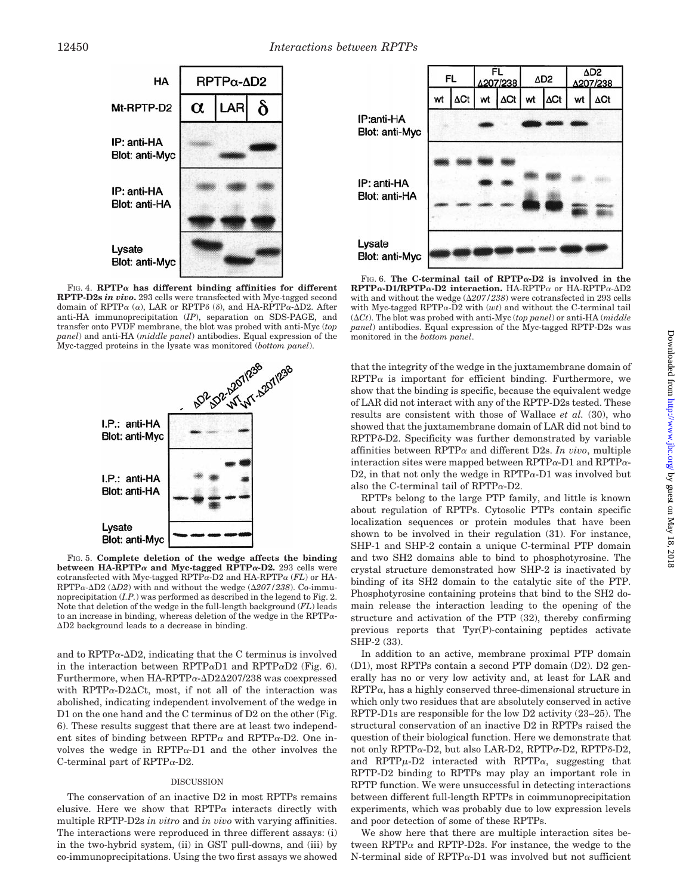

FIG. 4. **RPTP** $\alpha$  has different binding affinities for different **RPTP-D2s** *in vivo***.** 293 cells were transfected with Myc-tagged second domain of RPTP $\alpha$  ( $\alpha$ ), LAR or RPTP $\delta$  ( $\delta$ ), and HA-RPTP $\alpha$ - $\Delta$ D2. After anti-HA immunoprecipitation (*IP*), separation on SDS-PAGE, and transfer onto PVDF membrane, the blot was probed with anti-Myc (*top panel*) and anti-HA (*middle panel*) antibodies. Equal expression of the



FIG. 5. **Complete deletion of the wedge affects the binding between HA-RPTP** $\alpha$  and Myc-tagged RPTP $\alpha$ -D2. 293 cells were cotransfected with Myc-tagged RPTPa-D2 and HA-RPTP<sup>a</sup> (*FL*) or HA-RPTP $\alpha$ - $\Delta$ D2 ( $\Delta$ D2) with and without the wedge ( $\Delta$ 207/238). Co-immunoprecipitation (*I.P.*) was performed as described in the legend to Fig. 2. Note that deletion of the wedge in the full-length background (*FL*) leads to an increase in binding, whereas deletion of the wedge in the  $RPTP\alpha$ - $\Delta D2$  background leads to a decrease in binding.

and to  $RPTP\alpha-\Delta D2$ , indicating that the C terminus is involved in the interaction between RPTP $\alpha$ D1 and RPTP $\alpha$ D2 (Fig. 6). Furthermore, when  $HA-RPTP\alpha-\Delta D2\Delta 207/238$  was coexpressed with  $RPTP\alpha-D2\Delta Ct$ , most, if not all of the interaction was abolished, indicating independent involvement of the wedge in D1 on the one hand and the C terminus of D2 on the other (Fig. 6). These results suggest that there are at least two independent sites of binding between RPTP $\alpha$  and RPTP $\alpha$ -D2. One involves the wedge in  $RPTP\alpha-D1$  and the other involves the C-terminal part of  $RPTP\alpha-D2$ .

# DISCUSSION

The conservation of an inactive D2 in most RPTPs remains elusive. Here we show that  $RPTP\alpha$  interacts directly with multiple RPTP-D2s *in vitro* and *in vivo* with varying affinities. The interactions were reproduced in three different assays: (i) in the two-hybrid system, (ii) in GST pull-downs, and (iii) by co-immunoprecipitations. Using the two first assays we showed



FIG. 6. **The C-terminal tail of RPTP**a**-D2 is involved in the RPTP**a**-D1/RPTP**a**-D2 interaction.** HA-RPTP<sup>a</sup> or HA-RPTPa-DD2 with and without the wedge  $(\Delta 207/238)$  were cotransfected in 293 cells with Myc-tagged RPTPa-D2 with (*wt*) and without the C-terminal tail  $(\Delta Ct)$ . The blot was probed with anti-Myc (*top panel*) or anti-HA ( $middle$ *panel*) antibodies. Equal expression of the Myc-tagged RPTP-D2s was monitored in the *bottom panel*.

that the integrity of the wedge in the juxtamembrane domain of  $RPTP\alpha$  is important for efficient binding. Furthermore, we show that the binding is specific, because the equivalent wedge of LAR did not interact with any of the RPTP-D2s tested. These results are consistent with those of Wallace *et al.* (30), who showed that the juxtamembrane domain of LAR did not bind to RPTP<sub>8</sub>-D<sub>2</sub>. Specificity was further demonstrated by variable affinities between  $\text{RPTP}\alpha$  and different D2s. *In vivo*, multiple interaction sites were mapped between RPTP $\alpha$ -D1 and RPTP $\alpha$ -D2, in that not only the wedge in  $RPTP\alpha-D1$  was involved but also the C-terminal tail of RPTP $\alpha$ -D2.

RPTPs belong to the large PTP family, and little is known about regulation of RPTPs. Cytosolic PTPs contain specific localization sequences or protein modules that have been shown to be involved in their regulation (31). For instance, SHP-1 and SHP-2 contain a unique C-terminal PTP domain and two SH2 domains able to bind to phosphotyrosine. The crystal structure demonstrated how SHP-2 is inactivated by binding of its SH2 domain to the catalytic site of the PTP. Phosphotyrosine containing proteins that bind to the SH2 domain release the interaction leading to the opening of the structure and activation of the PTP (32), thereby confirming previous reports that Tyr(P)-containing peptides activate SHP-2 (33).

In addition to an active, membrane proximal PTP domain (D1), most RPTPs contain a second PTP domain (D2). D2 generally has no or very low activity and, at least for LAR and  $RPTP\alpha$ , has a highly conserved three-dimensional structure in which only two residues that are absolutely conserved in active RPTP-D1s are responsible for the low D2 activity (23–25). The structural conservation of an inactive D2 in RPTPs raised the question of their biological function. Here we demonstrate that not only RPTP $\alpha$ -D2, but also LAR-D2, RPTP $\sigma$ -D2, RPTP $\delta$ -D2, and RPTP $\mu$ -D2 interacted with RPTP $\alpha$ , suggesting that RPTP-D2 binding to RPTPs may play an important role in RPTP function. We were unsuccessful in detecting interactions between different full-length RPTPs in coimmunoprecipitation experiments, which was probably due to low expression levels and poor detection of some of these RPTPs.

We show here that there are multiple interaction sites between RPTP $\alpha$  and RPTP-D2s. For instance, the wedge to the N-terminal side of  $RPTP\alpha$ -D1 was involved but not sufficient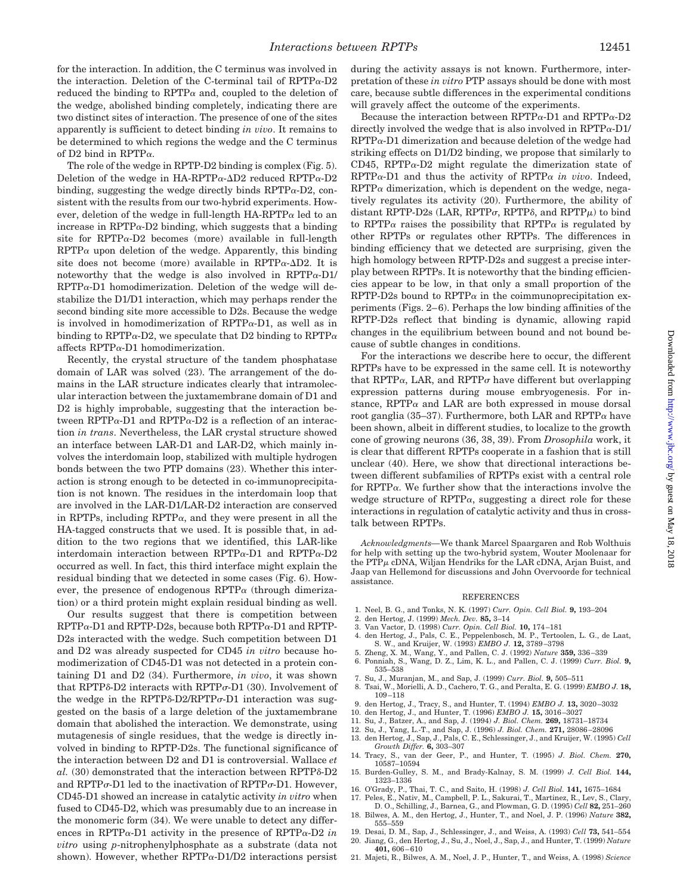for the interaction. In addition, the C terminus was involved in the interaction. Deletion of the C-terminal tail of  $RPTP\alpha-D2$ reduced the binding to  $RPTP\alpha$  and, coupled to the deletion of the wedge, abolished binding completely, indicating there are two distinct sites of interaction. The presence of one of the sites apparently is sufficient to detect binding *in vivo*. It remains to be determined to which regions the wedge and the C terminus of D2 bind in RPTP $\alpha$ .

The role of the wedge in RPTP-D2 binding is complex (Fig. 5). Deletion of the wedge in HA-RPTP $\alpha$ - $\Delta$ D2 reduced RPTP $\alpha$ -D2 binding, suggesting the wedge directly binds  $RPTP\alpha-D2$ , consistent with the results from our two-hybrid experiments. However, deletion of the wedge in full-length  $HA-RPTP\alpha$  led to an increase in  $RPTP\alpha-D2$  binding, which suggests that a binding site for RPTP $\alpha$ -D2 becomes (more) available in full-length  $RPTP\alpha$  upon deletion of the wedge. Apparently, this binding site does not become (more) available in  $RPTP\alpha-\Delta D2$ . It is noteworthy that the wedge is also involved in  $RPTP\alpha-D1$ /  $RPTP\alpha-D1$  homodimerization. Deletion of the wedge will destabilize the D1/D1 interaction, which may perhaps render the second binding site more accessible to D2s. Because the wedge is involved in homodimerization of  $RPTP\alpha-D1$ , as well as in binding to RPTP $\alpha$ -D2, we speculate that D2 binding to RPTP $\alpha$ affects RPTPa-D1 homodimerization.

Recently, the crystal structure of the tandem phosphatase domain of LAR was solved (23). The arrangement of the domains in the LAR structure indicates clearly that intramolecular interaction between the juxtamembrane domain of D1 and D2 is highly improbable, suggesting that the interaction between RPTP $\alpha$ -D1 and RPTP $\alpha$ -D2 is a reflection of an interaction *in trans*. Nevertheless, the LAR crystal structure showed an interface between LAR-D1 and LAR-D2, which mainly involves the interdomain loop, stabilized with multiple hydrogen bonds between the two PTP domains (23). Whether this interaction is strong enough to be detected in co-immunoprecipitation is not known. The residues in the interdomain loop that are involved in the LAR-D1/LAR-D2 interaction are conserved in RPTPs, including  $RPTP\alpha$ , and they were present in all the HA-tagged constructs that we used. It is possible that, in addition to the two regions that we identified, this LAR-like interdomain interaction between RPTP $\alpha$ -D1 and RPTP $\alpha$ -D2 occurred as well. In fact, this third interface might explain the residual binding that we detected in some cases (Fig. 6). However, the presence of endogenous  $\text{RPTP}\alpha$  (through dimerization) or a third protein might explain residual binding as well.

Our results suggest that there is competition between RPTPa-D1 and RPTP-D2s, because both RPTPa-D1 and RPTP-D2s interacted with the wedge. Such competition between D1 and D2 was already suspected for CD45 *in vitro* because homodimerization of CD45-D1 was not detected in a protein containing D1 and D2 (34). Furthermore, *in vivo*, it was shown that RPTP $\delta$ -D2 interacts with RPTP $\sigma$ -D1 (30). Involvement of the wedge in the RPTP $\delta$ -D2/RPTP $\sigma$ -D1 interaction was suggested on the basis of a large deletion of the juxtamembrane domain that abolished the interaction. We demonstrate, using mutagenesis of single residues, that the wedge is directly involved in binding to RPTP-D2s. The functional significance of the interaction between D2 and D1 is controversial. Wallace *et* al. (30) demonstrated that the interaction between RPTP $\delta$ -D2 and RPTP $\sigma$ -D1 led to the inactivation of RPTP $\sigma$ -D1. However, CD45-D1 showed an increase in catalytic activity *in vitro* when fused to CD45-D2, which was presumably due to an increase in the monomeric form (34). We were unable to detect any differences in RPTP $\alpha$ -D1 activity in the presence of RPTP $\alpha$ -D2 *in vitro* using *p*-nitrophenylphosphate as a substrate (data not shown). However, whether  $RPTP\alpha-D1/D2$  interactions persist

during the activity assays is not known. Furthermore, interpretation of these *in vitro* PTP assays should be done with most care, because subtle differences in the experimental conditions will gravely affect the outcome of the experiments.

Because the interaction between  $RPTP\alpha-D1$  and  $RPTP\alpha-D2$ directly involved the wedge that is also involved in  $RPTP\alpha-D1$  $RPTP\alpha$ -D1 dimerization and because deletion of the wedge had striking effects on D1/D2 binding, we propose that similarly to CD45, RPTP $\alpha$ -D2 might regulate the dimerization state of  $RPTP\alpha-D1$  and thus the activity of  $RPTP\alpha$  *in vivo*. Indeed,  $RPTP\alpha$  dimerization, which is dependent on the wedge, negatively regulates its activity (20). Furthermore, the ability of distant RPTP-D2s (LAR, RPTP $\sigma$ , RPTP $\delta$ , and RPTP $\mu$ ) to bind to RPTP $\alpha$  raises the possibility that RPTP $\alpha$  is regulated by other RPTPs or regulates other RPTPs. The differences in binding efficiency that we detected are surprising, given the high homology between RPTP-D2s and suggest a precise interplay between RPTPs. It is noteworthy that the binding efficiencies appear to be low, in that only a small proportion of the RPTP-D2s bound to  $RPTP\alpha$  in the coimmunoprecipitation experiments (Figs. 2–6). Perhaps the low binding affinities of the RPTP-D2s reflect that binding is dynamic, allowing rapid changes in the equilibrium between bound and not bound because of subtle changes in conditions.

For the interactions we describe here to occur, the different RPTPs have to be expressed in the same cell. It is noteworthy that RPTP $\alpha$ , LAR, and RPTP $\sigma$  have different but overlapping expression patterns during mouse embryogenesis. For instance,  $RPTP\alpha$  and LAR are both expressed in mouse dorsal root ganglia (35–37). Furthermore, both LAR and  $RPTP\alpha$  have been shown, albeit in different studies, to localize to the growth cone of growing neurons (36, 38, 39). From *Drosophila* work, it is clear that different RPTPs cooperate in a fashion that is still unclear (40). Here, we show that directional interactions between different subfamilies of RPTPs exist with a central role for  $RPTP\alpha$ . We further show that the interactions involve the wedge structure of RPTP $\alpha$ , suggesting a direct role for these interactions in regulation of catalytic activity and thus in crosstalk between RPTPs.

*Acknowledgments—*We thank Marcel Spaargaren and Rob Wolthuis for help with setting up the two-hybrid system, Wouter Moolenaar for  $the PTP<sub>u</sub> cDNA$ , Wiljan Hendriks for the LAR cDNA, Arjan Buist, and Jaap van Hellemond for discussions and John Overvoorde for technical assistance.

## REFERENCES

- 1. Neel, B. G., and Tonks, N. K. (1997) *Curr. Opin. Cell Biol.* **9,** 193–204
- 2. den Hertog, J. (1999) *Mech. Dev.* **85,** 3–14
- 3. Van Vactor, D. (1998) *Curr. Opin. Cell Biol.* **10,** 174–181
- 4. den Hertog, J., Pals, C. E., Peppelenbosch, M. P., Tertoolen, L. G., de Laat, S. W., and Kruijer, W. (1993) *EMBO J*. 12, 3789–3798<br>5. Zheng, X. M., Wang, Y., and Pallen, C. J. (1992) *Nature* **359**, 336–339
- 
- 6. Ponniah, S., Wang, D. Z., Lim, K. L., and Pallen, C. J. (1999) *Curr. Biol.* **9,** 535–538
- 7. Su, J., Muranjan, M., and Sap, J. (1999) *Curr. Biol.* **9,** 505–511
- 8. Tsai, W., Morielli, A. D., Cachero, T. G., and Peralta, E. G. (1999) *EMBO J.* **18,** 109–118
- 9. den Hertog, J., Tracy, S., and Hunter, T. (1994) *EMBO J.* **13,** 3020–3032
- 10. den Hertog, J., and Hunter, T. (1996) *EMBO J.* **15,** 3016–3027
- 11. Su, J., Batzer, A., and Sap, J. (1994) *J. Biol. Chem.* **269,** 18731–18734
- 12. Su, J., Yang, L.-T., and Sap, J. (1996) *J. Biol. Chem.* **271,** 28086–28096
- 13. den Hertog, J., Sap, J., Pals, C. E., Schlessinger, J., and Kruijer, W. (1995) *Cell Growth Differ.* **6,** 303–307
- 14. Tracy, S., van der Geer, P., and Hunter, T. (1995) *J. Biol. Chem.* **270,** 10587–10594
- 15. Burden-Gulley, S. M., and Brady-Kalnay, S. M. (1999) *J. Cell Biol.* **144,** 1323–1336
- 16. O'Grady, P., Thai, T. C., and Saito, H. (1998) *J. Cell Biol.* **141,** 1675–1684
- 17. Peles, E., Nativ, M., Campbell, P. L., Sakurai, T., Martinez, R., Lev, S., Clary, D. O., Schilling, J., Barnea, G., and Plowman, G. D. (1995) *Cell* **82,** 251–260
- 18. Bilwes, A. M., den Hertog, J., Hunter, T., and Noel, J. P. (1996) *Nature* **382,** 555–559
- 19. Desai, D. M., Sap, J., Schlessinger, J., and Weiss, A. (1993) *Cell* **73,** 541–554 20. Jiang, G., den Hertog, J., Su, J., Noel, J., Sap, J., and Hunter, T. (1999) *Nature*
- **401,** 606–610
- 21. Majeti, R., Bilwes, A. M., Noel, J. P., Hunter, T., and Weiss, A. (1998) *Science*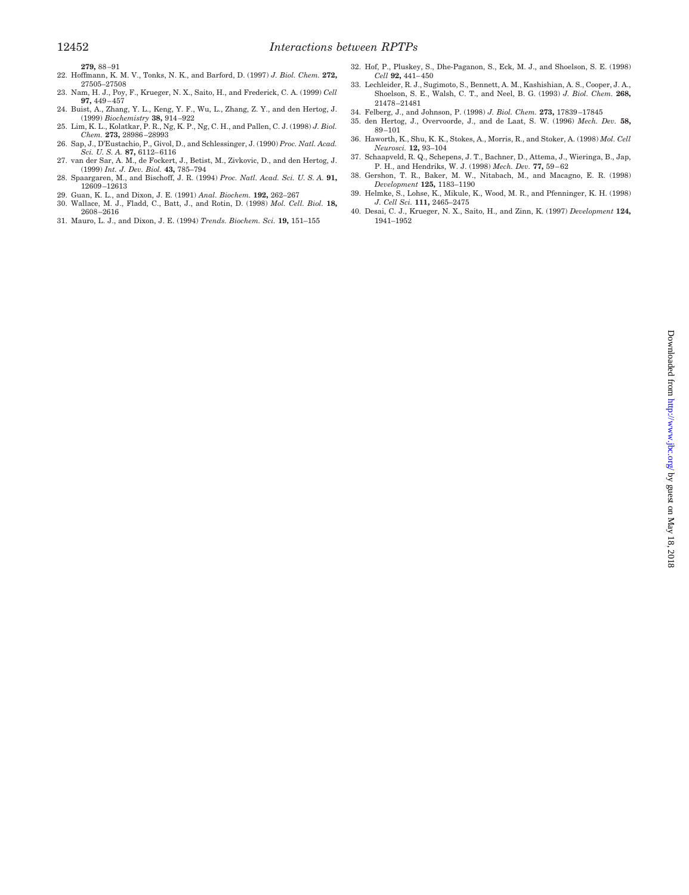- **279,** 88–91
- 22. Hoffmann, K. M. V., Tonks, N. K., and Barford, D. (1997) *J. Biol. Chem.* **272,** 27505–27508
- 23. Nam, H. J., Poy, F., Krueger, N. X., Saito, H., and Frederick, C. A. (1999) *Cell* **97,** 449–457
- 24. Buist, A., Zhang, Y. L., Keng, Y. F., Wu, L., Zhang, Z. Y., and den Hertog, J. (1999) *Biochemistry* **38,** 914–922
- 25. Lim, K. L., Kolatkar, P. R., Ng, K. P., Ng, C. H., and Pallen, C. J. (1998) *J. Biol. Chem.* **273,** 28986–28993
- 26. Sap, J., D'Eustachio, P., Givol, D., and Schlessinger, J. (1990) *Proc. Natl. Acad. Sci. U. S. A.* **87,** 6112–6116
- 27. van der Sar, A. M., de Fockert, J., Betist, M., Zivkovic, D., and den Hertog, J. (1999) *Int. J. Dev. Biol.* **43,** 785–794 28. Spaargaren, M., and Bischoff, J. R. (1994) *Proc. Natl. Acad. Sci. U. S. A.* **91,**
- 12609–12613
- 29. Guan, K. L., and Dixon, J. E. (1991) *Anal. Biochem.* **192,** 262–267
- 30. Wallace, M. J., Fladd, C., Batt, J., and Rotin, D. (1998) *Mol. Cell. Biol.* **18,** 2608–2616
- 31. Mauro, L. J., and Dixon, J. E. (1994) *Trends. Biochem. Sci.* **19,** 151–155
- 32. Hof, P., Pluskey, S., Dhe-Paganon, S., Eck, M. J., and Shoelson, S. E. (1998) *Cell* **92,** 441–450
- 33. Lechleider, R. J., Sugimoto, S., Bennett, A. M., Kashishian, A. S., Cooper, J. A., Shoelson, S. E., Walsh, C. T., and Neel, B. G. (1993) *J. Biol. Chem.* **268,** 21478–21481
- 34. Felberg, J., and Johnson, P. (1998) *J. Biol. Chem.* **273,** 17839–17845
- 35. den Hertog, J., Overvoorde, J., and de Laat, S. W. (1996) *Mech. Dev.* **58,** 89–101
- 36. Haworth, K., Shu, K. K., Stokes, A., Morris, R., and Stoker, A. (1998) *Mol. Cell Neurosci.* **12,** 93–104
- 37. Schaapveld, R. Q., Schepens, J. T., Bachner, D., Attema, J., Wieringa, B., Jap, P. H., and Hendriks, W. J. (1998) *Mech. Dev.* **77,** 59–62 38. Gershon, T. R., Baker, M. W., Nitabach, M., and Macagno, E. R. (1998)
- *Development* **125,** 1183–1190
- 39. Helmke, S., Lohse, K., Mikule, K., Wood, M. R., and Pfenninger, K. H. (1998) *J. Cell Sci.* **111,** 2465–2475
- 40. Desai, C. J., Krueger, N. X., Saito, H., and Zinn, K. (1997) *Development* **124,** 1941–1952